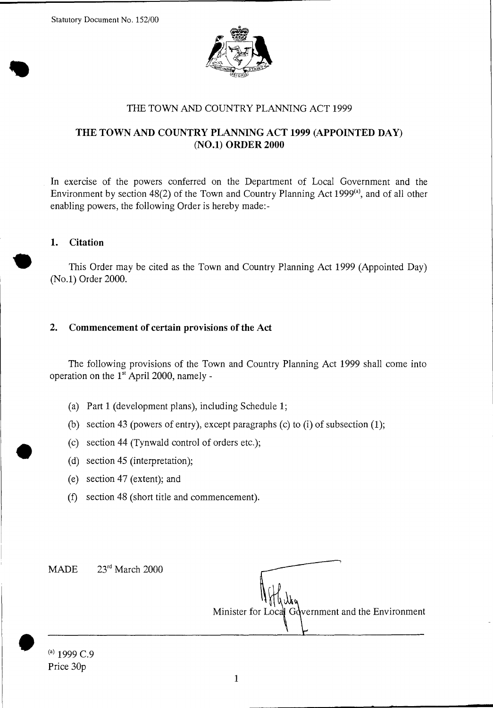

## THE TOWN AND COUNTRY PLANNING ACT 1999

# **THE TOWN AND COUNTRY PLANNING ACT 1999 (APPOINTED DAY) (NO.1) ORDER 2000**

In exercise of the powers conferred on the Department of Local Government and the Environment by section  $48(2)$  of the Town and Country Planning Act 1999 $(4)$ , and of all other enabling powers, the following Order is hereby made:-

### **1. Citation**

This Order may be cited as the Town and Country Planning Act 1999 (Appointed Day) (No.1) Order 2000.

### **2. Commencement of certain provisions of the Act**

The following provisions of the Town and Country Planning Act 1999 shall come into operation on the  $1<sup>st</sup>$  April 2000, namely -

- (a) Part 1 (development plans), including Schedule 1;
- (b) section 43 (powers of entry), except paragraphs (c) to (i) of subsection (1);
- (c) section 44 (Tynwald control of orders etc.);
- (d) section 45 (interpretation);
- (e) section 47 (extent); and
- (f) section 48 (short title and commencement).

MADE  $23<sup>rd</sup> March 2000$ 

Minister for Local Government and the Environment

 $\begin{array}{c} - \\ \bullet \\ \bullet \end{array}$  $^{(a)}$  1999 C.9 Price 30p

•